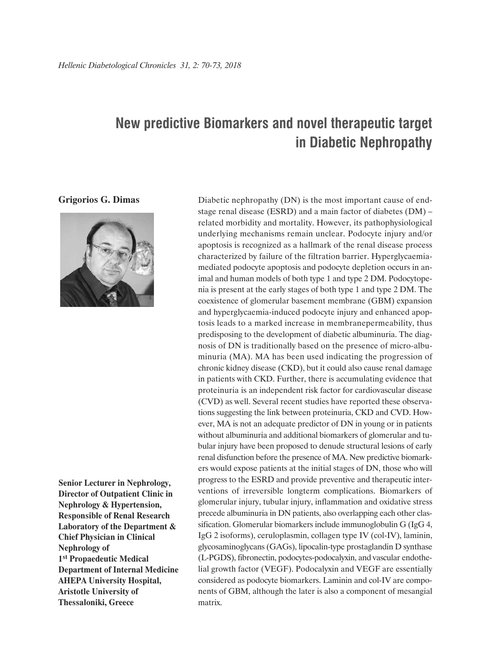## **New predictive Biomarkers and novel therapeutic target in Diabetic Nephropathy**

## **Grigorios G. Dimas**



**Senior Lecturer in Nephrology, Director of Outpatient Clinic in Nephrology & Hypertension, Responsible of Renal Research Laboratory of the Department & Chief Physician in Clinical Nephrology of 1st Propaedeutic Medical Department of Internal Medicine AHEPA University Hospital, Aristotle University of Thessaloniki, Greece**

Diabetic nephropathy (DN) is the most important cause of endstage renal disease (ESRD) and a main factor of diabetes (DM) – related morbidity and mortality. However, its pathophysiological underlying mechanisms remain unclear. Podocyte injury and/or apoptosis is recognized as a hallmark of the renal disease process characterized by failure of the filtration barrier. Hyperglycaemiamediated podocyte apoptosis and podocyte depletion occurs in animal and human models of both type 1 and type 2 DM. Podocytopenia is present at the early stages of both type 1 and type 2 DM. The coexistence of glomerular basement membrane (GBM) expansion and hyperglycaemia-induced podocyte injury and enhanced apoptosis leads to a marked increase in membranepermeability, thus predisposing to the development of diabetic albuminuria. The diagnosis of DN is traditionally based on the presence of micro-albuminuria (MA). MA has been used indicating the progression of chronic kidney disease (CKD), but it could also cause renal damage in patients with CKD. Further, there is accumulating evidence that proteinuria is an independent risk factor for cardiovascular disease (CVD) as well. Several recent studies have reported these observations suggesting the link between proteinuria, CKD and CVD. However, MA is not an adequate predictor of DN in young or in patients without albuminuria and additional biomarkers of glomerular and tubular injury have been proposed to denude structural lesions of early renal disfunction before the presence of MA. New predictive biomarkers would expose patients at the initial stages of DN, those who will progress to the ESRD and provide preventive and therapeutic interventions of irreversible longterm complications. Biomarkers of glomerular injury, tubular injury, inflammation and oxidative stress precede albuminuria in DN patients, also overlapping each other classification. Glomerular biomarkers include immunoglobulin G (IgG 4, IgG 2 isoforms), ceruloplasmin, collagen type IV (col-IV), laminin, glycosaminoglycans (GAGs), lipocalin-type prostaglandin D synthase (L-PGDS), fibronectin, podocytes-podocalyxin, and vascular endothelial growth factor (VEGF). Podocalyxin and VEGF are essentially considered as podocyte biomarkers. Laminin and col-IV are components of GBM, although the later is also a component of mesangial matrix.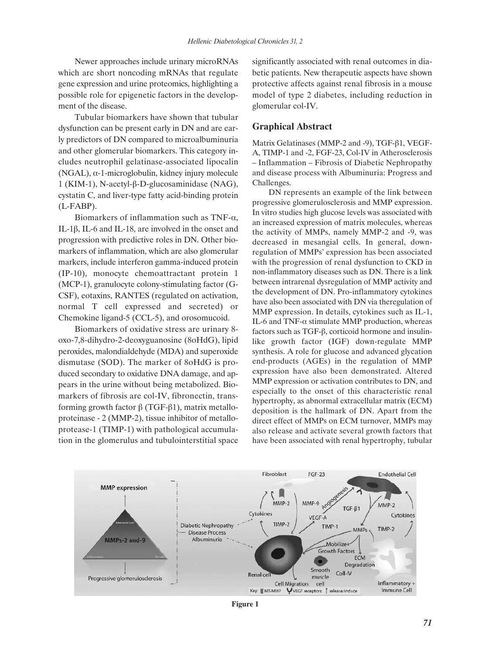Newer approaches include urinary microRNAs which are short noncoding mRNAs that regulate gene expression and urine proteomics, highlighting a possible role for epigenetic factors in the development of the disease.

Tubular biomarkers have shown that tubular dysfunction can be present early in DN and are early predictors of DN compared to microalbuminuria and other glomerular biomarkers. This category includes neutrophil gelatinase-associated lipocalin (NGAL), α-1-microglobulin, kidney injury molecule 1 (KIM-1), N-acetyl-β-D-glucosaminidase (NAG), cystatin C, and liver-type fatty acid-binding protein (L-FABP).

Biomarkers of inflammation such as TNF- $\alpha$ , IL-1β, IL-6 and IL-18, are involved in the onset and progression with predictive roles in DN. Other biomarkers of inflammation, which are also glomerular markers, include interferon gamma-induced protein (IP-10), monocyte chemoattractant protein 1 (MCP-1), granulocyte colony-stimulating factor (G-CSF), eotaxins, RANTES (regulated on activation, normal T cell expressed and secreted) or Chemokine ligand-5 (CCL-5), and orosomucoid.

Biomarkers of oxidative stress are urinary 8 oxo-7,8-dihydro-2-deoxyguanosine (8oHdG), lipid peroxides, malondialdehyde (MDA) and superoxide dismutase (SOD). The marker of 8oHdG is produced secondary to oxidative DNA damage, and appears in the urine without being metabolized. Biomarkers of fibrosis are col-IV, fibronectin, transforming growth factor β (TGF-β1), matrix metalloproteinase - 2 (MMP-2), tissue inhibitor of metalloprotease-1 (TIMP-1) with pathological accumulation in the glomerulus and tubulointerstitial space significantly associated with renal outcomes in diabetic patients. New therapeutic aspects have shown protective affects against renal fibrosis in a mouse model of type 2 diabetes, including reduction in glomerular col-IV.

## **Graphical Abstract**

Matrix Gelatinases (MMP-2 and -9), TGF-β1, VEGF-A, TIMP-1 and -2, FGF-23, Col-IV in Atherosclerosis – Inflammation – Fibrosis of Diabetic Nephropathy and disease process with Albuminuria: Progress and Challenges.

DN represents an example of the link between progressive glomerulosclerosis and MMP expression. In vitro studies high glucose levels was associated with an increased expression of matrix molecules, whereas the activity of MMPs, namely MMP-2 and -9, was decreased in mesangial cells. In general, downregulation of MMPs' expression has been associated with the progression of renal dysfunction to CKD in non-inflammatory diseases such as DN. There is a link between intrarenal dysregulation of MMP activity and the development of DN. Pro-inflammatory cytokines have also been associated with DN via theregulation of MMP expression. In details, cytokines such as IL-1, IL-6 and TNF-α stimulate MMP production, whereas factors such as TGF-β, corticoid hormone and insulinlike growth factor (IGF) down-regulate MMP synthesis. A role for glucose and advanced glycation end-products (AGEs) in the regulation of MMP expression have also been demonstrated. Altered MMP expression or activation contributes to DN, and especially to the onset of this characteristic renal hypertrophy, as abnormal extracellular matrix (ECM) deposition is the hallmark of DN. Apart from the direct effect of MMPs on ECM turnover, MMPs may also release and activate several growth factors that have been associated with renal hypertrophy, tubular



**Figure 1**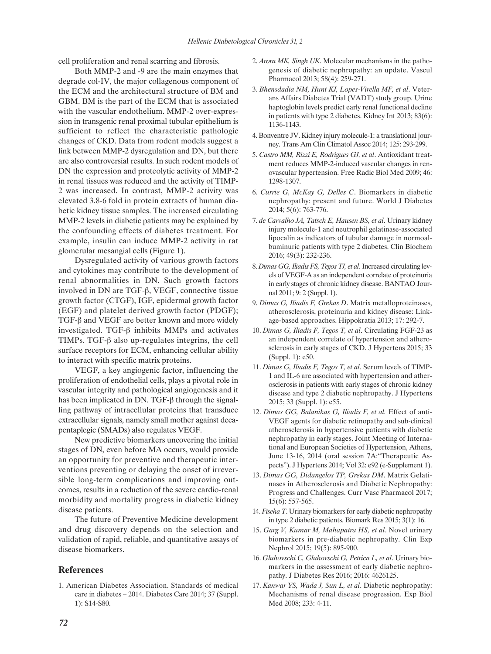cell proliferation and renal scarring and fibrosis.

Both MMP-2 and -9 are the main enzymes that degrade col-IV, the major collagenous component of the ECM and the architectural structure of BM and GBM. BM is the part of the ECM that is associated with the vascular endothelium. MMP-2 over-expression in transgenic renal proximal tubular epithelium is sufficient to reflect the characteristic pathologic changes of CKD. Data from rodent models suggest a link between MMP-2 dysregulation and DN, but there are also controversial results. In such rodent models of DN the expression and proteolytic activity of MMP-2 in renal tissues was reduced and the activity of TIMP-2 was increased. In contrast, MMP-2 activity was elevated 3.8-6 fold in protein extracts of human diabetic kidney tissue samples. The increased circulating MMP-2 levels in diabetic patients may be explained by the confounding effects of diabetes treatment. For example, insulin can induce MMP-2 activity in rat glomerular mesangial cells (Figure 1).

Dysregulated activity of various growth factors and cytokines may contribute to the development of renal abnormalities in DN. Such growth factors involved in DN are TGF-β, VEGF, connective tissue growth factor (CTGF), IGF, epidermal growth factor (EGF) and platelet derived growth factor (PDGF); TGF-β and VEGF are better known and more widely investigated. TGF-β inhibits MMPs and activates TIMPs. TGF-β also up-regulates integrins, the cell surface receptors for ECM, enhancing cellular ability to interact with specific matrix proteins.

VEGF, a key angiogenic factor, influencing the proliferation of endothelial cells, plays a pivotal role in vascular integrity and pathological angiogenesis and it has been implicated in DN. TGF-β through the signalling pathway of intracellular proteins that transduce extracellular signals, namely small mother against decapentaplegic (SMADs) also regulates VEGF.

New predictive biomarkers uncovering the initial stages of DN, even before MA occurs, would provide an opportunity for preventive and therapeutic interventions preventing or delaying the onset of irreversible long-term complications and improving outcomes, results in a reduction of the severe cardio-renal morbidity and mortality progress in diabetic kidney disease patients.

The future of Preventive Medicine development and drug discovery depends on the selection and validation of rapid, reliable, and quantitative assays of disease biomarkers.

## **References**

1. American Diabetes Association. Standards of medical care in diabetes – 2014. Diabetes Care 2014; 37 (Suppl. 1): S14-S80.

- 2. *Arora MK, Singh UK*. Molecular mechanisms in the pathogenesis of diabetic nephropathy: an update. Vascul Pharmacol 2013; 58(4): 259-271.
- 3. *Bhensdadia NM, Hunt KJ, Lopes-Virella MF, et al*. Veterans Affairs Diabetes Trial (VADT) study group. Urine haptoglobin levels predict early renal functional decline in patients with type 2 diabetes. Kidney Int 2013; 83(6): 1136-1143.
- 4. Bonventre JV. Kidney injury molecule-1: a translational journey. Trans Am Clin Climatol Assoc 2014; 125: 293-299.
- 5. *Castro MM, Rizzi E, Rodrigues GJ, et al*. Antioxidant treatment reduces MMP-2-induced vascular changes in renovascular hypertension. Free Radic Biol Med 2009; 46: 1298-1307.
- 6. *Currie G, McKay G, Delles C*. Biomarkers in diabetic nephropathy: present and future. World J Diabetes 2014; 5(6): 763-776.
- 7. *de Carvalho JA, Tatsch E, Hausen BS, et al*. Urinary kidney injury molecule-1 and neutrophil gelatinase-associated lipocalin as indicators of tubular damage in normoalbuminuric patients with type 2 diabetes. Clin Biochem 2016; 49(3): 232-236.
- 8. *Dimas GG,Iliadis FS, Tegos TJ, et al*.Increased circulating levels of VEGF-A as an independent correlate of proteinuria in early stages of chronic kidney disease. BANTAO Journal 2011; 9: 2 (Suppl. 1).
- 9. *Dimas G, Iliadis F, Grekas D*. Matrix metalloproteinases, atherosclerosis, proteinuria and kidney disease: Linkage-based approaches. Hippokratia 2013; 17: 292-7.
- 10. *Dimas G, Iliadis F, Tegos T, et al*. Circulating FGF-23 as an independent correlate of hypertension and atherosclerosis in early stages of CKD. J Hypertens 2015; 33 (Suppl. 1): e50.
- 11. *Dimas G, Iliadis F, Tegos T, et al*. Serum levels of TIMP-1 and IL-6 are associated with hypertension and atherosclerosis in patients with early stages of chronic kidney disease and type 2 diabetic nephropathy. J Hypertens 2015; 33 (Suppl. 1): e55.
- 12. *Dimas GG, Balanikas G, Iliadis F, et al.* Effect of anti-VEGF agents for diabetic retinopathy and sub-clinical atherosclerosis in hypertensive patients with diabetic nephropathy in early stages. Joint Meeting of International and European Societies of Hypertension, Athens, June 13-16, 2014 (oral session 7A:"Therapeutic Aspects"). J Hypertens 2014; Vol 32: e92 (e-Supplement 1).
- 13. *Dimas GG, Didangelos TP, Grekas DM*. Matrix Gelatinases in Atherosclerosis and Diabetic Nephropathy: Progress and Challenges. Curr Vasc Pharmacol 2017; 15(6): 557-565.
- 14. *Fiseha T*. Urinary biomarkers for early diabetic nephropathy in type 2 diabetic patients. Biomark Res 2015; 3(1): 16.
- 15. *Garg V, Kumar M, Mahapatra HS, et al*. Novel urinary biomarkers in pre-diabetic nephropathy. Clin Exp Nephrol 2015; 19(5): 895-900.
- 16. *Gluhovschi C, Gluhovschi G, Petrica L, et al*. Urinary biomarkers in the assessment of early diabetic nephropathy. J Diabetes Res 2016; 2016: 4626125.
- 17. *Kanwar YS, Wada J, Sun L, et al*. Diabetic nephropathy: Mechanisms of renal disease progression. Exp Biol Med 2008; 233: 4-11.